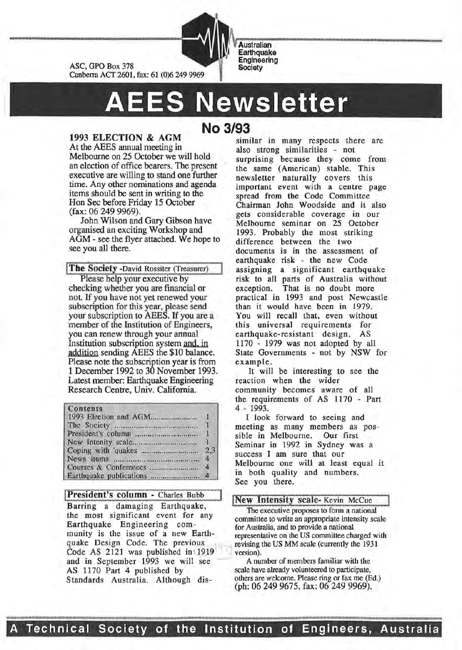

**Australian Earthquake Engineering Society** 

# **AEES Newsletter**

## 1993 ELECTION & AGM

ASC, GPO Box 378

At the AEES annual meeting in Melbourne on 25 October we will hold an election of office bearers. The present executive are willing to stand one further time. Any other nominations and agenda items should be sent in writing to the Hon Sec before Friday 15 October (fax: 06 249 9969).

John Wilson and Gary Gibson have organised an exciting Workshop and AGM- see the flyer attached. We hope to see you all there.

The Society -David Rossiter (Treasurer) Please help your executive by

checking whether you are financial or not. H you have not yet renewed your subscription for this year, please send your subscription to AEES. If you are a member of the Institution of Engineers, you can renew through your annual Institution subscription system and. in addition sending AEES the \$10 balance. Please note the subscription year is from 1 December 1992 to 30 November 1993. Latest member: Earthquake Engineering Research Centre, Univ. California.

#### Contents

(Summ - Charles Bubb)<br>
Barring a damaging Earthquake,<br>
the most significant event for any<br>
neexecutive proposes to form a national<br>
neexecutive proposes to form a national<br>
neexecutive proposes to form a national Earthquake Engineering com-<br>
for Australia, and to provide a national<br>
representative on the US committee cha Code AS 2121 was published in 1919 and in September 1993 we will see A number of members familiar with the AS 1170 Part 4 published by scale have already volunteered to participate,<br>Standards Australia Although dis-<br>others are welcome. Please ring or fax me (Ed.) Standards Australia. Although dis-

# **No 3/93**

similar in many respects there are also strong similarities - not surprising because they come from the same (American) stable. This newsletter naturally covers this important event with a centre page spread from the Code Committee Chairman John Woodside and it also gets considerable coverage in our Melbourne seminar on 25 October 1993. Probably the most striking difference between the two documents is in the assessment of earthquake risk - the new Code assigning a significant earthquake risk to all parts of Australia without exception. That is no doubt more practical in 1993 and post Newcastle than it would have been in 1979. You will recall that, even without this universal requirements for earthquake-resistant design, AS 1170 - 1979 was not adopted by all State Governments - not by NSW for example.

::::: ~ : :::::: =~ :. =~= : : :: ::::: : :c : ::: ::::

It will be interesting to see the reaction when the wider community becomes aware of all the requirements of AS 1170 - Part 4 - 1993.

I look forward to seeing and meeting as many members as possible in Melbourne. Our first Seminar in 1992 in Sydney was a success I am sure that our Melbourne one will at least equal it in both quality and numbers. See you there.

committee to write an appropriate intensity scale munity is the issue of a new Earth-<br>quake Design Code. The previous revising the US MM scale (currently the 1931) revising the US MM scale (currently the 1931 version).

(ph: 06 249 9675, fax: 06 249 9969).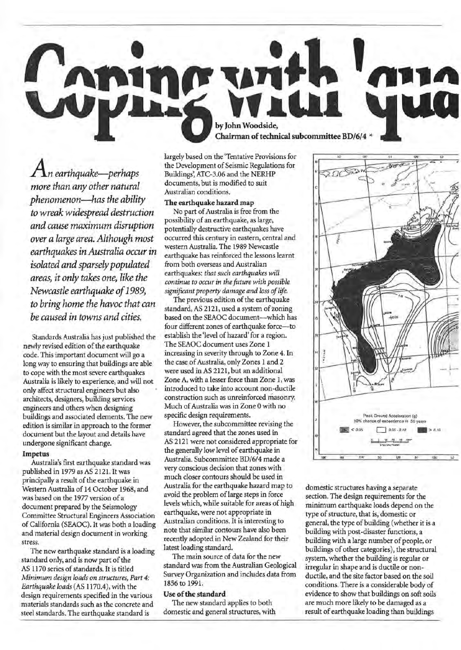

*An earthquake-perhaps more than any other natural phenomenon-has the ability to wreak widespread destruction and cause maximum disruption over a large area. Although most earthquakes in Australia occur in isolated and sparsely populated areas, it only takes one, like the Newcastle earthquake of* 1989, *to bring home the havoc that can be caused in towns and cities.* 

Standards Australia has just published the newly revised edition of the earthquake code. This important document will go a long way to ensuring that buildings are able to cope with the most severe earthquakes Australia is likely to experience, and will not only affect structural engineers but also architects, designers, building services engineers and others when designing buildings and associated elements. The new edition is similar in approach to the former document but the layout and details have undergone significant change.

#### Impetus

Australia's first earthquake standard was published in 1979 as AS 2121. It was principally a result of the earthquake in Western Australia of 14 October 1968, and was based on the 1977 version of a document prepared by the Seismology Committee Structural Engineers Association of California (SEAOC). It was both a loading and material design document in working stress.

The new earthquake standard is a loading standard only, and is now part of the AS 1170 series of standards. It is titled *Minimum design loads on structures, Part 4: Earthquake loads* (AS 1170.4), with the design requirements specified in the various materials standards such as the concrete and steel standards. The earthquake standard is

largely based on the 'Tentative Provisions for the Development of Seismic Regulations for Buildings', ATC-3.06 and the NERHP documents, but is modified to suit Australian conditions.

### The earthquake hazard map

No part of Australia is free from the possibility of an earthquake, as large, potentially destructive earthquakes have occurred this century in eastern, central and western Australia. The 1989 Newcastle earthquake has reinforced the lessons learnt from both overseas and Australian earthquakes: *that such earthquakes will continue to occur in the future with possible significant property damage and loss of life.* 

The previous edition of the earthquake standard, AS 2121, used a system of zoning based on the SEAOC document-which has four different zones of earthquake force-to establish the 'level of hazard' for a region. The SEAOC document uses Zone 1 increasing in severity through to Zone 4. In the case of Australia, only Zones 1 and 2 were used in AS 2121, but an additional Zone A, with a lesser force than Zone 1, was introduced to take into account non-ductile construction such as unreinforced masonry. Much of Australia was in Zone 0 with no specific design requirements.

However, the subcommittee revising the standard agreed that the zones used in AS 2121 were not considered appropriate for the generally low level of earthquake in Australia. Subcommittee BD/6/4 made a very conscious decision that zones with much closer contours should be used in Australia for the earthquake hazard map to avoid the problem of large steps in force levels which, while suitable for areas of high earthquake, were not appropriate in Australian conditions. It is interesting to note that similar contours have also been recently adopted in New Zealand for their latest loading standard.

The main source of data for the new standard was from the Australian Geological Survey Organization and includes data from 1856 to 1991.

#### Use of the standard

The new standard applies to both domestic and general structures, with



domestic structures having a separate section. The design requirements for the minimum earthquake loads depend on the type of structure, that is, domestic or general, the type of building (whether it is a building with post-disaster functions, a building with a large number of people, or buildings of other categories), the structural system, whether the building is regular or irregular in shape and is ductile or nonductile, and the site factor based on the soil conditions. There is a considerable body of evidence to show that buildings on soft soils are much more likely to be damaged as a result of earthquake loading than buildings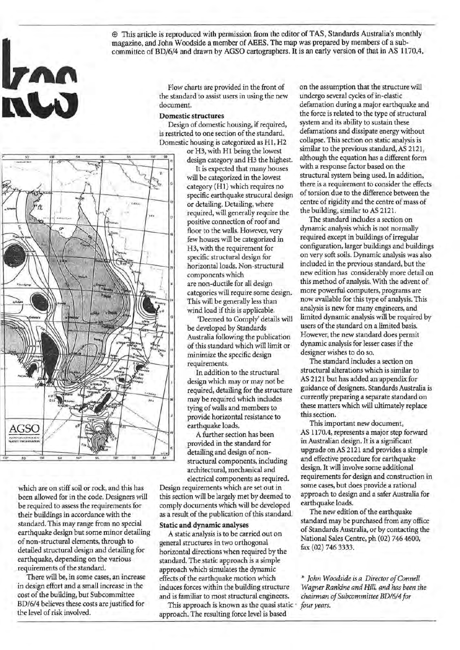$$\oplus$  This article is reproduced with permission from the editor of TAS, Standards Australia's monthly$ magazine, and John Woodside a member of AEES. The map was prepared by members of a subcommittee of BD/6/4 and drawn by AGSO cartographers. It is an early version of that in AS 1170.4.

> Flow charts are provided in the front of the standard to assist users in using the new document.

#### Domestic structures

Design of domestic housing, if required, is restricted to one section of the standard. Domestic housing is categorized as H1, H2

or H3, with H1 being the lowest design category and H3 the highest.

It is expected that many houses will be categorized in the lowest category (H1) which requires no specific earthquake strucural design or detailing. Detailing, where required, will generally require the positive connection of roof and floor to the walls. However, very few houses will be categorized in H3, with the requirement for specific structural design for horizontal loads. Non-structural components which are non-ductile for all design categories will require some design. This will be generally less than wind load if this is applicable.

'Deemed to Comply' details will be developed by Standards Australia following the publication of this standard which will limit or minimize the specific design requirements.

In addition to the structural design which may or may not be required, detailing for the structure may be required which includes tying of walls and members to provide horizontal resistance to earthquake loads.

A further section has been provided in the standard for detailing and design of nonstructural components, including architectural, mechanical and

electrical components as required. Design requirements which are set out in this section will be largely met by deemed to comply documents which will be developed as a result of the publication of this standard.

#### Static and dynamic analyses

A static analysis is to be carried out on general structures in two orthogonal horizontal directions when required by the standard. The static approach is a simple approach which simulates the dynamic effects of the earthquake motion which \* *John Woodside is a Director of Connell*  induces forces within the building structure *Wagner Rankine and Hill. and has been the*  and is familiar to most structural engineers. *chairman of Subcommittee BD/6/4for* 

This approach is known as the quasi static · *four years.*  approach. The resulting force level is based

on the assumption that the structure will undergo several cycles of in-elastic defamation during a major earthquake and the force is related to the type of structural system and its ability to sustain these defamations and dissipate energy without collapse. This section on static analysis is similar to the previous standard, AS 2121, although the equation has a different form with a response factor based on the structural system being used. In addition, there is a requirement to consider the effects of torsion due to the difference between the centre of rigidity and the centre of mass of the building, similar to AS 2121.

The standard includes a section on dynamic analysis which is not normally required except in buildings of irregular configuration, larger buildings and buildings on very soft soils. Dynamic analysis was also included in the previous standard, but the new edition has considerably more detail on this method of analysis. With the advent of more powerful computers, programs are now available for this type of analysis. This analysis is new for many engineers, and limited dynamic analysis will be required by users of the standard on a limited basis. However, the new standard does permit dynamic analysis for lesser cases if the designer wishes to do so.

The standard includes a section on structural alterations which is similar to AS 2121 but has added an appendix for guidance of designers. Standards Australia is currently preparing a separate standard on these matters which will ultimately replace this section.

This important new document, AS 1170.4, represents a major step forward in Australian design. It is a significant upgrade on AS 2121 and provides a simple and effective procedure for earthquake design. It will involve some additional requirements for design and construction in some cases, but does provide a rational approach to design and a safer Australia for earthquake loads.

The new edition of the earthquake standard may be purchased from any office of Standards Australia, or by contacting the National Sales Centre, ph (02) 746 4600, fax (02) 746 3333.



**Izna** 

which are on stiff soil or rock, and this has been allowed for in the code. Designers will be required to assess the requirements for their buildings in accordance with the standard. This may range from no special earthquake design but some minor detailing of non-structural elements, through to detailed structural design and detailing for earthquake, depending on the various requirements of the standard.

There will be, in some cases, an increase in design effort and a small increase in the cost of the building, but Subcommittee BD/6/4 believes these costs are justified for tbe level of risk involved.